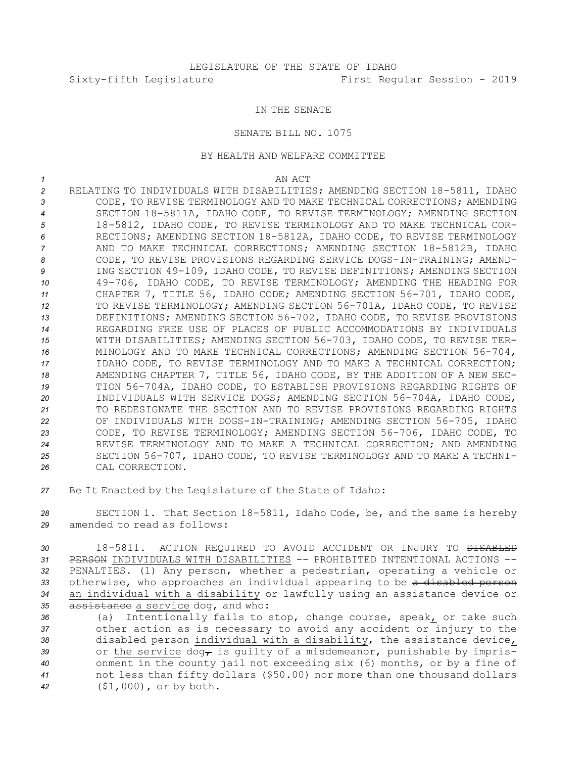## IN THE SENATE

## SENATE BILL NO. 1075

## BY HEALTH AND WELFARE COMMITTEE

*1* AN ACT

- *<sup>2</sup>* RELATING TO INDIVIDUALS WITH DISABILITIES; AMENDING SECTION 18-5811, IDAHO *3* CODE, TO REVISE TERMINOLOGY AND TO MAKE TECHNICAL CORRECTIONS; AMENDING *<sup>4</sup>* SECTION 18-5811A, IDAHO CODE, TO REVISE TERMINOLOGY; AMENDING SECTION *<sup>5</sup>* 18-5812, IDAHO CODE, TO REVISE TERMINOLOGY AND TO MAKE TECHNICAL COR-*<sup>6</sup>* RECTIONS; AMENDING SECTION 18-5812A, IDAHO CODE, TO REVISE TERMINOLOGY *<sup>7</sup>* AND TO MAKE TECHNICAL CORRECTIONS; AMENDING SECTION 18-5812B, IDAHO *8* CODE, TO REVISE PROVISIONS REGARDING SERVICE DOGS-IN-TRAINING; AMEND-*<sup>9</sup>* ING SECTION 49-109, IDAHO CODE, TO REVISE DEFINITIONS; AMENDING SECTION *<sup>10</sup>* 49-706, IDAHO CODE, TO REVISE TERMINOLOGY; AMENDING THE HEADING FOR *<sup>11</sup>* CHAPTER 7, TITLE 56, IDAHO CODE; AMENDING SECTION 56-701, IDAHO CODE, *<sup>12</sup>* TO REVISE TERMINOLOGY; AMENDING SECTION 56-701A, IDAHO CODE, TO REVISE *<sup>13</sup>* DEFINITIONS; AMENDING SECTION 56-702, IDAHO CODE, TO REVISE PROVISIONS *14* REGARDING FREE USE OF PLACES OF PUBLIC ACCOMMODATIONS BY INDIVIDUALS *<sup>15</sup>* WITH DISABILITIES; AMENDING SECTION 56-703, IDAHO CODE, TO REVISE TER-*<sup>16</sup>* MINOLOGY AND TO MAKE TECHNICAL CORRECTIONS; AMENDING SECTION 56-704, *17* IDAHO CODE, TO REVISE TERMINOLOGY AND TO MAKE A TECHNICAL CORRECTION; *<sup>18</sup>* AMENDING CHAPTER 7, TITLE 56, IDAHO CODE, BY THE ADDITION OF A NEW SEC-*<sup>19</sup>* TION 56-704A, IDAHO CODE, TO ESTABLISH PROVISIONS REGARDING RIGHTS OF *<sup>20</sup>* INDIVIDUALS WITH SERVICE DOGS; AMENDING SECTION 56-704A, IDAHO CODE, *21* TO REDESIGNATE THE SECTION AND TO REVISE PROVISIONS REGARDING RIGHTS *<sup>22</sup>* OF INDIVIDUALS WITH DOGS-IN-TRAINING; AMENDING SECTION 56-705, IDAHO *<sup>23</sup>* CODE, TO REVISE TERMINOLOGY; AMENDING SECTION 56-706, IDAHO CODE, TO *24* REVISE TERMINOLOGY AND TO MAKE A TECHNICAL CORRECTION; AND AMENDING *<sup>25</sup>* SECTION 56-707, IDAHO CODE, TO REVISE TERMINOLOGY AND TO MAKE A TECHNI-*26* CAL CORRECTION.
- *<sup>27</sup>* Be It Enacted by the Legislature of the State of Idaho:

*<sup>28</sup>* SECTION 1. That Section 18-5811, Idaho Code, be, and the same is hereby *29* amended to read as follows:

 18-5811. ACTION REQUIRED TO AVOID ACCIDENT OR INJURY TO DISABLED PERSON INDIVIDUALS WITH DISABILITIES -- PROHIBITED INTENTIONAL ACTIONS -- PENALTIES. (1) Any person, whether <sup>a</sup> pedestrian, operating <sup>a</sup> vehicle or otherwise, who approaches an individual appearing to be <sup>a</sup> disabled person an individual with <sup>a</sup> disability or lawfully using an assistance device or assistance <sup>a</sup> service dog, and who:

 (a) Intentionally fails to stop, change course, speak, or take such other action as is necessary to avoid any accident or injury to the disabled person individual with <sup>a</sup> disability, the assistance device, 39 or the service  $\text{dog}_{\mathcal{T}}$  is quilty of a misdemeanor, punishable by impris- onment in the county jail not exceeding six (6) months, or by <sup>a</sup> fine of not less than fifty dollars (\$50.00) nor more than one thousand dollars (\$1,000), or by both.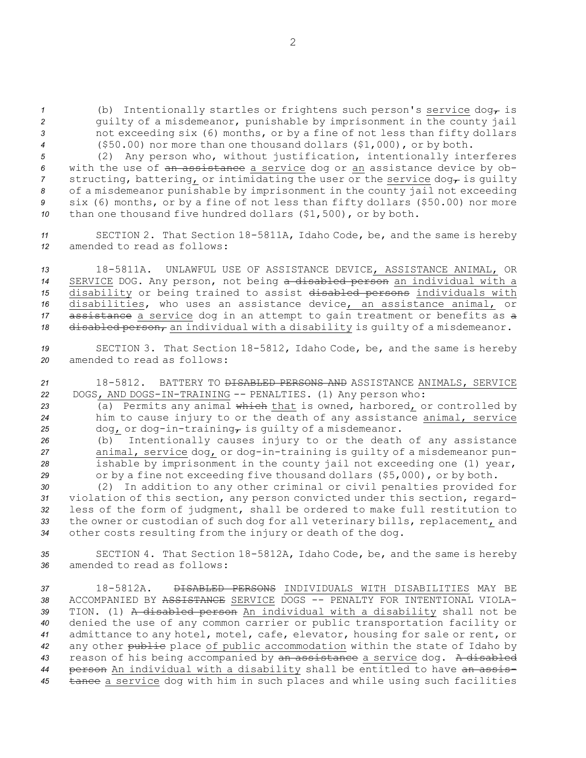(b) Intentionally startles or frightens such person's service  $\text{dog}_{\mathcal{T}}$  is guilty of <sup>a</sup> misdemeanor, punishable by imprisonment in the county jail not exceeding six (6) months, or by <sup>a</sup> fine of not less than fifty dollars (\$50.00) nor more than one thousand dollars (\$1,000), or by both.

 (2) Any person who, without justification, intentionally interferes with the use of an assistance <sup>a</sup> service dog or an assistance device by ob- structing, battering, or intimidating the user or the service dog<sub> $\tau$ </sub> is quilty of <sup>a</sup> misdemeanor punishable by imprisonment in the county jail not exceeding six (6) months, or by <sup>a</sup> fine of not less than fifty dollars (\$50.00) nor more than one thousand five hundred dollars (\$1,500), or by both.

*<sup>11</sup>* SECTION 2. That Section 18-5811A, Idaho Code, be, and the same is hereby *12* amended to read as follows:

 18-5811A. UNLAWFUL USE OF ASSISTANCE DEVICE, ASSISTANCE ANIMAL, OR SERVICE DOG. Any person, not being <sup>a</sup> disabled person an individual with <sup>a</sup> disability or being trained to assist disabled persons individuals with disabilities, who uses an assistance device, an assistance animal, or 17 assistance a service dog in an attempt to gain treatment or benefits as a 18 disabled person, an individual with a disability is quilty of a misdemeanor.

*<sup>19</sup>* SECTION 3. That Section 18-5812, Idaho Code, be, and the same is hereby *20* amended to read as follows:

*<sup>21</sup>* 18-5812. BATTERY TO DISABLED PERSONS AND ASSISTANCE ANIMALS, SERVICE *<sup>22</sup>* DOGS, AND DOGS-IN-TRAINING -- PENALTIES. (1) Any person who:

*<sup>23</sup>* (a) Permits any animal which that is owned, harbored, or controlled by *<sup>24</sup>* him to cause injury to or the death of any assistance animal, service 25 dog, or dog-in-training, is quilty of a misdemeanor.

 (b) Intentionally causes injury to or the death of any assistance animal, service dog, or dog-in-training is guilty of <sup>a</sup> misdemeanor pun- ishable by imprisonment in the county jail not exceeding one (1) year, or by <sup>a</sup> fine not exceeding five thousand dollars (\$5,000), or by both.

 (2) In addition to any other criminal or civil penalties provided for violation of this section, any person convicted under this section, regard- less of the form of judgment, shall be ordered to make full restitution to the owner or custodian of such dog for all veterinary bills, replacement, and other costs resulting from the injury or death of the dog.

*<sup>35</sup>* SECTION 4. That Section 18-5812A, Idaho Code, be, and the same is hereby *36* amended to read as follows:

 18-5812A. DISABLED PERSONS INDIVIDUALS WITH DISABILITIES MAY BE ACCOMPANIED BY ASSISTANCE SERVICE DOGS -- PENALTY FOR INTENTIONAL VIOLA- TION. (1) <sup>A</sup> disabled person An individual with <sup>a</sup> disability shall not be denied the use of any common carrier or public transportation facility or admittance to any hotel, motel, cafe, elevator, housing for sale or rent, or any other public place of public accommodation within the state of Idaho by reason of his being accompanied by an assistance <sup>a</sup> service dog. <sup>A</sup> disabled person An individual with <sup>a</sup> disability shall be entitled to have an assis-45 tance a service dog with him in such places and while using such facilities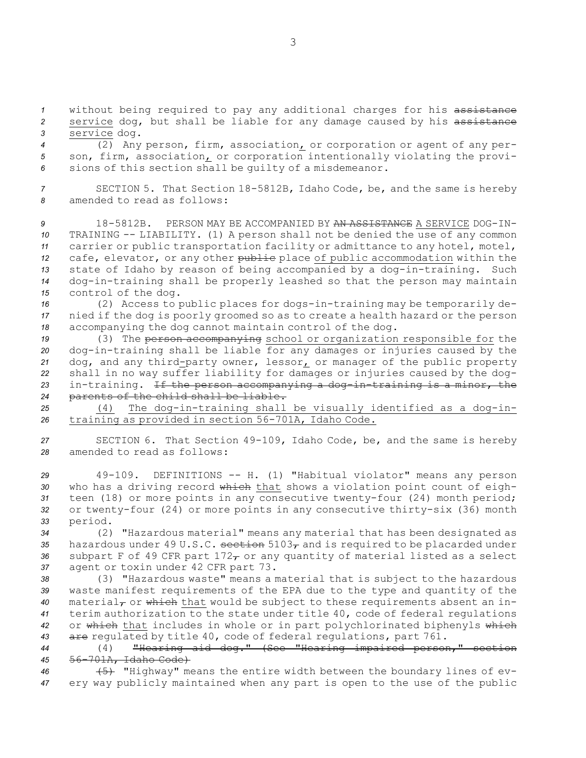*<sup>1</sup>* without being required to pay any additional charges for his assistance 2 service dog, but shall be liable for any damage caused by his assistance *<sup>3</sup>* service dog.

*<sup>4</sup>* (2) Any person, firm, association, or corporation or agent of any per-*<sup>5</sup>* son, firm, association, or corporation intentionally violating the provi-*<sup>6</sup>* sions of this section shall be guilty of <sup>a</sup> misdemeanor.

*<sup>7</sup>* SECTION 5. That Section 18-5812B, Idaho Code, be, and the same is hereby *8* amended to read as follows:

 18-5812B. PERSON MAY BE ACCOMPANIED BY AN ASSISTANCE A SERVICE DOG-IN- TRAINING -- LIABILITY. (1) <sup>A</sup> person shall not be denied the use of any common carrier or public transportation facility or admittance to any hotel, motel, cafe, elevator, or any other public place of public accommodation within the state of Idaho by reason of being accompanied by <sup>a</sup> dog-in-training. Such dog-in-training shall be properly leashed so that the person may maintain control of the dog.

*<sup>16</sup>* (2) Access to public places for dogs-in-training may be temporarily de-*<sup>17</sup>* nied if the dog is poorly groomed so as to create <sup>a</sup> health hazard or the person *<sup>18</sup>* accompanying the dog cannot maintain control of the dog.

19 (3) The person accompanying school or organization responsible for the dog-in-training shall be liable for any damages or injuries caused by the dog, and any third-party owner, lessor, or manager of the public property shall in no way suffer liability for damages or injuries caused by the dog- in-training. If the person accompanying <sup>a</sup> dog-in-training is <sup>a</sup> minor, the parents of the child shall be liable.

*<sup>25</sup>* (4) The dog-in-training shall be visually identified as <sup>a</sup> dog-in-*<sup>26</sup>* training as provided in section 56-701A, Idaho Code.

*<sup>27</sup>* SECTION 6. That Section 49-109, Idaho Code, be, and the same is hereby *28* amended to read as follows:

*<sup>29</sup>* 49-109. DEFINITIONS -- H. (1) "Habitual violator" means any person 30 who has a driving record which that shows a violation point count of eigh-*<sup>31</sup>* teen (18) or more points in any consecutive twenty-four (24) month period; *<sup>32</sup>* or twenty-four (24) or more points in any consecutive thirty-six (36) month *<sup>33</sup>* period.

*<sup>34</sup>* (2) "Hazardous material" means any material that has been designated as 35 hazardous under  $49 \text{ U.S.C. } \text{section } 5103$ <sub>r</sub> and is required to be placarded under 36 subpart F of 49 CFR part  $172<sub>T</sub>$  or any quantity of material listed as a select *<sup>37</sup>* agent or toxin under 42 CFR part 73.

 (3) "Hazardous waste" means <sup>a</sup> material that is subject to the hazardous waste manifest requirements of the EPA due to the type and quantity of the 40 material<sub>7</sub> or which that would be subject to these requirements absent an in- terim authorization to the state under title 40, code of federal regulations or which that includes in whole or in part polychlorinated biphenyls which 43 are regulated by title 40, code of federal regulations, part 761.

*<sup>44</sup>* (4) "Hearing aid dog." (See "Hearing impaired person," section *<sup>45</sup>* 56-701A, Idaho Code)

*<sup>46</sup>* (5) "Highway" means the entire width between the boundary lines of ev-*<sup>47</sup>* ery way publicly maintained when any part is open to the use of the public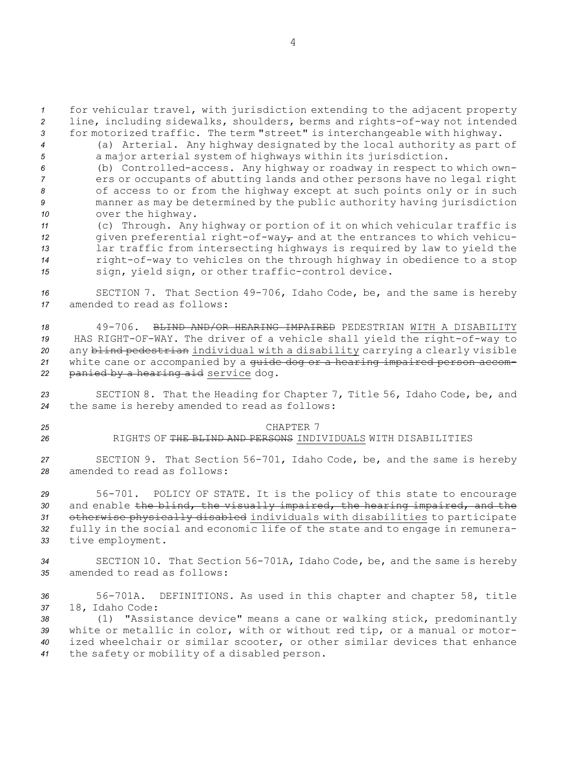*<sup>1</sup>* for vehicular travel, with jurisdiction extending to the adjacent property *<sup>2</sup>* line, including sidewalks, shoulders, berms and rights-of-way not intended *<sup>3</sup>* for motorized traffic. The term "street" is interchangeable with highway.

*<sup>4</sup>* (a) Arterial. Any highway designated by the local authority as part of *<sup>5</sup>* <sup>a</sup> major arterial system of highways within its jurisdiction.

 (b) Controlled-access. Any highway or roadway in respect to which own- ers or occupants of abutting lands and other persons have no legal right of access to or from the highway except at such points only or in such manner as may be determined by the public authority having jurisdiction over the highway.

 (c) Through. Any highway or portion of it on which vehicular traffic is given preferential right-of-way<sub> $\tau$ </sub> and at the entrances to which vehicu- lar traffic from intersecting highways is required by law to yield the right-of-way to vehicles on the through highway in obedience to <sup>a</sup> stop sign, yield sign, or other traffic-control device.

*<sup>16</sup>* SECTION 7. That Section 49-706, Idaho Code, be, and the same is hereby *17* amended to read as follows:

 49-706. BLIND AND/OR HEARING IMPAIRED PEDESTRIAN WITH A DISABILITY HAS RIGHT-OF-WAY. The driver of <sup>a</sup> vehicle shall yield the right-of-way to any blind pedestrian individual with <sup>a</sup> disability carrying <sup>a</sup> clearly visible white cane or accompanied by <sup>a</sup> guide dog or <sup>a</sup> hearing impaired person accom-panied by <sup>a</sup> hearing aid service dog.

*<sup>23</sup>* SECTION 8. That the Heading for Chapter 7, Title 56, Idaho Code, be, and *<sup>24</sup>* the same is hereby amended to read as follows:

- 
- 

## *25* CHAPTER 7 *26* RIGHTS OF THE BLIND AND PERSONS INDIVIDUALS WITH DISABILITIES

*<sup>27</sup>* SECTION 9. That Section 56-701, Idaho Code, be, and the same is hereby *28* amended to read as follows:

 56-701. POLICY OF STATE. It is the policy of this state to encourage and enable the blind, the visually impaired, the hearing impaired, and the otherwise physically disabled individuals with disabilities to participate fully in the social and economic life of the state and to engage in remunera-tive employment.

*<sup>34</sup>* SECTION 10. That Section 56-701A, Idaho Code, be, and the same is hereby *35* amended to read as follows:

*<sup>36</sup>* 56-701A. DEFINITIONS. As used in this chapter and chapter 58, title *<sup>37</sup>* 18, Idaho Code:

 (1) "Assistance device" means <sup>a</sup> cane or walking stick, predominantly white or metallic in color, with or without red tip, or <sup>a</sup> manual or motor- ized wheelchair or similar scooter, or other similar devices that enhance the safety or mobility of <sup>a</sup> disabled person.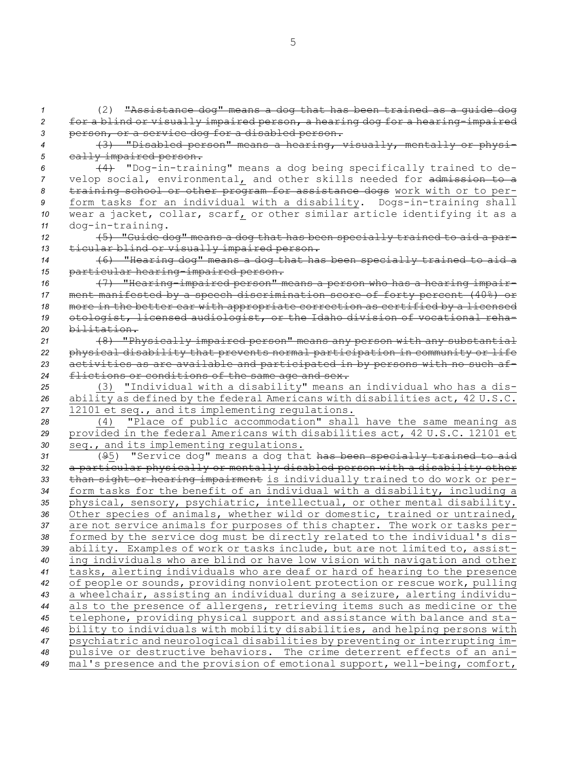(2) "Assistance dog" means <sup>a</sup> dog that has been trained as <sup>a</sup> guide dog for <sup>a</sup> blind or visually impaired person, <sup>a</sup> hearing dog for <sup>a</sup> hearing-impaired person, or <sup>a</sup> service dog for <sup>a</sup> disabled person. (3) "Disabled person" means <sup>a</sup> hearing, visually, mentally or physi- cally impaired person. (4) "Dog-in-training" means <sup>a</sup> dog being specifically trained to de- velop social, environmental, and other skills needed for admission to <sup>a</sup> training school or other program for assistance dogs work with or to per- form tasks for an individual with <sup>a</sup> disability. Dogs-in-training shall wear <sup>a</sup> jacket, collar, scarf, or other similar article identifying it as <sup>a</sup> dog-in-training. (5) "Guide dog" means <sup>a</sup> dog that has been specially trained to aid <sup>a</sup> par- ticular blind or visually impaired person. (6) "Hearing dog" means <sup>a</sup> dog that has been specially trained to aid <sup>a</sup> particular hearing-impaired person. (7) "Hearing-impaired person" means <sup>a</sup> person who has <sup>a</sup> hearing impair- ment manifested by <sup>a</sup> speech discrimination score of forty percent (40%) or more in the better ear with appropriate correction as certified by <sup>a</sup> licensed otologist, licensed audiologist, or the Idaho division of vocational reha- bilitation. (8) "Physically impaired person" means any person with any substantial physical disability that prevents normal participation in community or life activities as are available and participated in by persons with no such af- flictions or conditions of the same age and sex. (3) "Individual with <sup>a</sup> disability" means an individual who has <sup>a</sup> dis- ability as defined by the federal Americans with disabilities act, 42 U.S.C. 12101 et seq., and its implementing regulations. (4) "Place of public accommodation" shall have the same meaning as provided in the federal Americans with disabilities act, 42 U.S.C. 12101 et seq., and its implementing regulations. (95) "Service dog" means <sup>a</sup> dog that has been specially trained to aid <sup>a</sup> particular physically or mentally disabled person with <sup>a</sup> disability other than sight or hearing impairment is individually trained to do work or per- form tasks for the benefit of an individual with <sup>a</sup> disability, including <sup>a</sup> physical, sensory, psychiatric, intellectual, or other mental disability. Other species of animals, whether wild or domestic, trained or untrained, are not service animals for purposes of this chapter. The work or tasks per- formed by the service dog must be directly related to the individual's dis- ability. Examples of work or tasks include, but are not limited to, assist- ing individuals who are blind or have low vision with navigation and other tasks, alerting individuals who are deaf or hard of hearing to the presence of people or sounds, providing nonviolent protection or rescue work, pulling <sup>a</sup> wheelchair, assisting an individual during <sup>a</sup> seizure, alerting individu- als to the presence of allergens, retrieving items such as medicine or the telephone, providing physical support and assistance with balance and sta- bility to individuals with mobility disabilities, and helping persons with psychiatric and neurological disabilities by preventing or interrupting im- pulsive or destructive behaviors. The crime deterrent effects of an ani-mal's presence and the provision of emotional support, well-being, comfort,

5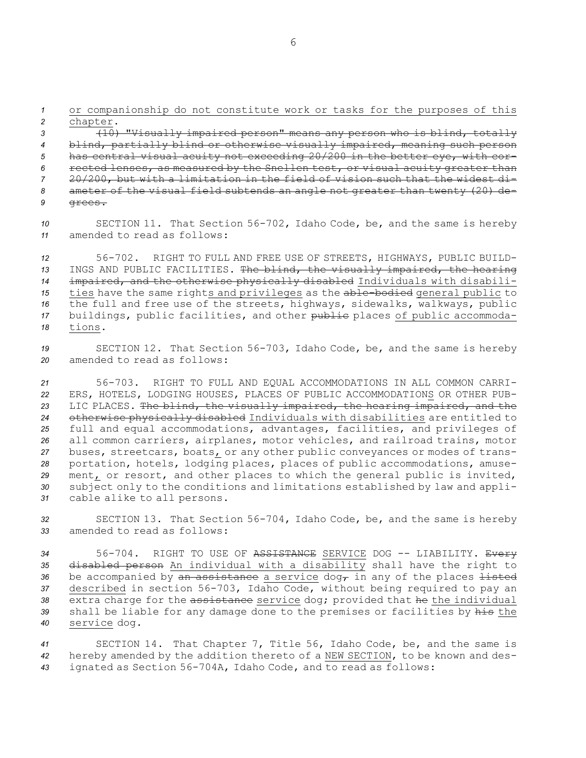*<sup>1</sup>* or companionship do not constitute work or tasks for the purposes of this *<sup>2</sup>* chapter.

 (10) "Visually impaired person" means any person who is blind, totally blind, partially blind or otherwise visually impaired, meaning such person has central visual acuity not exceeding 20/200 in the better eye, with cor- rected lenses, as measured by the Snellen test, or visual acuity greater than 20/200, but with <sup>a</sup> limitation in the field of vision such that the widest di- ameter of the visual field subtends an angle not greater than twenty (20) de-*9* grees.

*<sup>10</sup>* SECTION 11. That Section 56-702, Idaho Code, be, and the same is hereby *11* amended to read as follows:

 56-702. RIGHT TO FULL AND FREE USE OF STREETS, HIGHWAYS, PUBLIC BUILD- INGS AND PUBLIC FACILITIES. The blind, the visually impaired, the hearing impaired, and the otherwise physically disabled Individuals with disabili-15 ties have the same rights and privileges as the able-bodied general public to the full and free use of the streets, highways, sidewalks, walkways, public buildings, public facilities, and other public places of public accommoda-*18* tions.

*<sup>19</sup>* SECTION 12. That Section 56-703, Idaho Code, be, and the same is hereby *20* amended to read as follows:

 56-703. RIGHT TO FULL AND EQUAL ACCOMMODATIONS IN ALL COMMON CARRI- ERS, HOTELS, LODGING HOUSES, PLACES OF PUBLIC ACCOMMODATIONS OR OTHER PUB- LIC PLACES. The blind, the visually impaired, the hearing impaired, and the otherwise physically disabled Individuals with disabilities are entitled to full and equal accommodations, advantages, facilities, and privileges of all common carriers, airplanes, motor vehicles, and railroad trains, motor buses, streetcars, boats, or any other public conveyances or modes of trans- portation, hotels, lodging places, places of public accommodations, amuse- ment, or resort, and other places to which the general public is invited, subject only to the conditions and limitations established by law and appli-cable alike to all persons.

*<sup>32</sup>* SECTION 13. That Section 56-704, Idaho Code, be, and the same is hereby *33* amended to read as follows:

 56-704. RIGHT TO USE OF ASSISTANCE SERVICE DOG -- LIABILITY. Every disabled person An individual with <sup>a</sup> disability shall have the right to 36 be accompanied by an assistance a service dog<sub>r</sub> in any of the places listed described in section 56-703, Idaho Code, without being required to pay an extra charge for the assistance service dog; provided that he the individual shall be liable for any damage done to the premises or facilities by his the service dog.

*<sup>41</sup>* SECTION 14. That Chapter 7, Title 56, Idaho Code, be, and the same is *<sup>42</sup>* hereby amended by the addition thereto of <sup>a</sup> NEW SECTION, to be known and des-*<sup>43</sup>* ignated as Section 56-704A, Idaho Code, and to read as follows: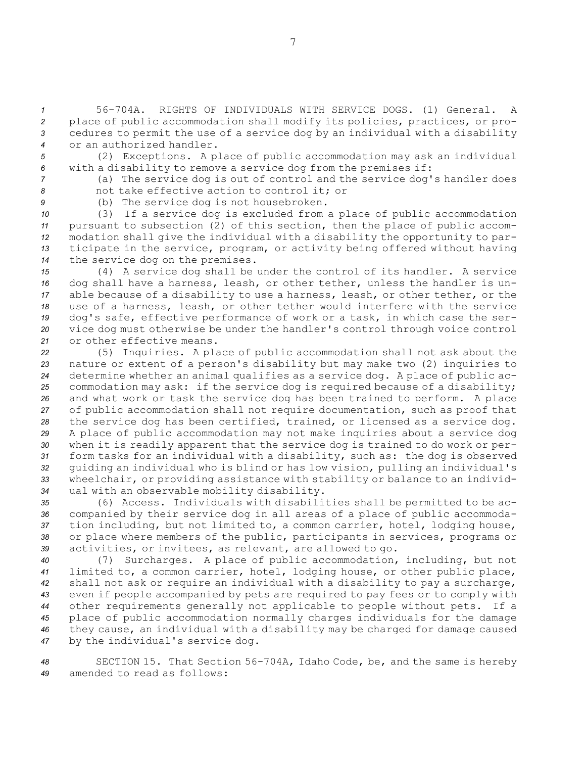56-704A. RIGHTS OF INDIVIDUALS WITH SERVICE DOGS. (1) General. A place of public accommodation shall modify its policies, practices, or pro- cedures to permit the use of <sup>a</sup> service dog by an individual with <sup>a</sup> disability or an authorized handler.

*<sup>5</sup>* (2) Exceptions. <sup>A</sup> place of public accommodation may ask an individual *<sup>6</sup>* with <sup>a</sup> disability to remove <sup>a</sup> service dog from the premises if:

*<sup>7</sup>* (a) The service dog is out of control and the service dog's handler does *8* not take effective action to control it; or

*<sup>9</sup>* (b) The service dog is not housebroken.

 (3) If <sup>a</sup> service dog is excluded from <sup>a</sup> place of public accommodation pursuant to subsection (2) of this section, then the place of public accom- modation shall give the individual with <sup>a</sup> disability the opportunity to par- ticipate in the service, program, or activity being offered without having the service dog on the premises.

 (4) <sup>A</sup> service dog shall be under the control of its handler. <sup>A</sup> service dog shall have <sup>a</sup> harness, leash, or other tether, unless the handler is un- able because of <sup>a</sup> disability to use <sup>a</sup> harness, leash, or other tether, or the use of <sup>a</sup> harness, leash, or other tether would interfere with the service dog's safe, effective performance of work or <sup>a</sup> task, in which case the ser- vice dog must otherwise be under the handler's control through voice control or other effective means.

 (5) Inquiries. <sup>A</sup> place of public accommodation shall not ask about the nature or extent of <sup>a</sup> person's disability but may make two (2) inquiries to determine whether an animal qualifies as <sup>a</sup> service dog. <sup>A</sup> place of public ac- commodation may ask: if the service dog is required because of <sup>a</sup> disability; and what work or task the service dog has been trained to perform. <sup>A</sup> place of public accommodation shall not require documentation, such as proof that the service dog has been certified, trained, or licensed as <sup>a</sup> service dog. <sup>A</sup> place of public accommodation may not make inquiries about <sup>a</sup> service dog when it is readily apparent that the service dog is trained to do work or per- form tasks for an individual with <sup>a</sup> disability, such as: the dog is observed guiding an individual who is blind or has low vision, pulling an individual's wheelchair, or providing assistance with stability or balance to an individ-ual with an observable mobility disability.

 (6) Access. Individuals with disabilities shall be permitted to be ac- companied by their service dog in all areas of <sup>a</sup> place of public accommoda- tion including, but not limited to, <sup>a</sup> common carrier, hotel, lodging house, or place where members of the public, participants in services, programs or activities, or invitees, as relevant, are allowed to go.

 (7) Surcharges. <sup>A</sup> place of public accommodation, including, but not limited to, <sup>a</sup> common carrier, hotel, lodging house, or other public place, shall not ask or require an individual with <sup>a</sup> disability to pay <sup>a</sup> surcharge, even if people accompanied by pets are required to pay fees or to comply with other requirements generally not applicable to people without pets. If <sup>a</sup> place of public accommodation normally charges individuals for the damage they cause, an individual with <sup>a</sup> disability may be charged for damage caused by the individual's service dog.

*<sup>48</sup>* SECTION 15. That Section 56-704A, Idaho Code, be, and the same is hereby *49* amended to read as follows:

7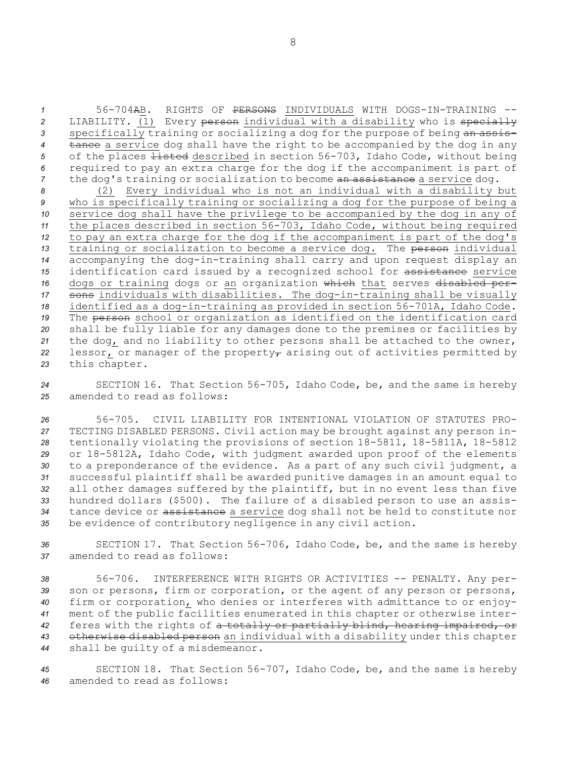*1* 56-704AB. RIGHTS OF PERSONS INDIVIDUALS WITH DOGS-IN-TRAINING -- *<sup>2</sup>* LIABILITY. (1) Every person individual with <sup>a</sup> disability who is specially 3 specifically training or socializing a dog for the purpose of being an assis-*<sup>4</sup>* tance <sup>a</sup> service dog shall have the right to be accompanied by the dog in any 5 of the places <del>listed</del> described in section 56-703, Idaho Code, without being *<sup>6</sup>* required to pay an extra charge for the dog if the accompaniment is part of 7 the dog's training or socialization to become an assistance a service dog.

 (2) Every individual who is not an individual with <sup>a</sup> disability but who is specifically training or socializing <sup>a</sup> dog for the purpose of being <sup>a</sup> service dog shall have the privilege to be accompanied by the dog in any of the places described in section 56-703, Idaho Code, without being required to pay an extra charge for the dog if the accompaniment is part of the dog's 13 training or socialization to become a service dog. The person individual accompanying the dog-in-training shall carry and upon request display an identification card issued by <sup>a</sup> recognized school for assistance service dogs or training dogs or an organization which that serves disabled per- sons individuals with disabilities. The dog-in-training shall be visually identified as <sup>a</sup> dog-in-training as provided in section 56-701A, Idaho Code. The person school or organization as identified on the identification card shall be fully liable for any damages done to the premises or facilities by the dog, and no liability to other persons shall be attached to the owner, 22 lessor, or manager of the property<sub> $\tau$ </sub> arising out of activities permitted by this chapter.

*<sup>24</sup>* SECTION 16. That Section 56-705, Idaho Code, be, and the same is hereby *25* amended to read as follows:

 56-705. CIVIL LIABILITY FOR INTENTIONAL VIOLATION OF STATUTES PRO- TECTING DISABLED PERSONS. Civil action may be brought against any person in- tentionally violating the provisions of section 18-5811, 18-5811A, 18-5812 or 18-5812A, Idaho Code, with judgment awarded upon proof of the elements to <sup>a</sup> preponderance of the evidence. As <sup>a</sup> part of any such civil judgment, <sup>a</sup> successful plaintiff shall be awarded punitive damages in an amount equal to all other damages suffered by the plaintiff, but in no event less than five hundred dollars (\$500). The failure of <sup>a</sup> disabled person to use an assis- tance device or assistance <sup>a</sup> service dog shall not be held to constitute nor be evidence of contributory negligence in any civil action.

*<sup>36</sup>* SECTION 17. That Section 56-706, Idaho Code, be, and the same is hereby *37* amended to read as follows:

 56-706. INTERFERENCE WITH RIGHTS OR ACTIVITIES -- PENALTY. Any per-39 son or persons, firm or corporation, or the agent of any person or persons, firm or corporation, who denies or interferes with admittance to or enjoy- ment of the public facilities enumerated in this chapter or otherwise inter- feres with the rights of <sup>a</sup> totally or partially blind, hearing impaired, or otherwise disabled person an individual with <sup>a</sup> disability under this chapter shall be guilty of <sup>a</sup> misdemeanor.

*<sup>45</sup>* SECTION 18. That Section 56-707, Idaho Code, be, and the same is hereby *46* amended to read as follows: